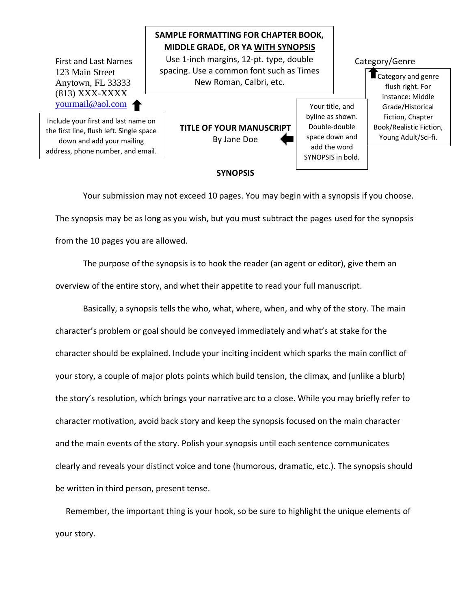First and Last Names  $\begin{array}{|c|c|} \hline \end{array}$  Use 1-inch margins, 12-pt. type, double  $\begin{array}{|c|c|c|} \hline \end{array}$  Category/Genre 123 Main Street Anytown, FL 33333 (813) XXX-XXXX [yourmail@aol.com](mailto:yourmail@aol.com)

Include your first and last name on the first line, flush left. Single space down and add your mailing address, phone number, and email.

**TITLE OF YOUR MANUSCRIPT** By Jane Doe

**SAMPLE FORMATTING FOR CHAPTER BOOK, MIDDLE GRADE, OR YA WITH SYNOPSIS**

spacing. Use a common font such as Times New Roman, Calbri, etc.

> Your title, and byline as shown. Double-double space down and add the word SYNOPSIS in bold.

 $\blacksquare$  Category and genre flush right. For instance: Middle Grade/Historical Fiction, Chapter Book/Realistic Fiction, Young Adult/Sci-fi.

## **SYNOPSIS**

Your submission may not exceed 10 pages. You may begin with a synopsis if you choose. The synopsis may be as long as you wish, but you must subtract the pages used for the synopsis from the 10 pages you are allowed.

The purpose of the synopsis is to hook the reader (an agent or editor), give them an overview of the entire story, and whet their appetite to read your full manuscript.

 Basically, a synopsis tells the who, what, where, when, and why of the story. The main character's problem or goal should be conveyed immediately and what's at stake for the character should be explained. Include your inciting incident which sparks the main conflict of your story, a couple of major plots points which build tension, the climax, and (unlike a blurb) the story's resolution, which brings your narrative arc to a close. While you may briefly refer to character motivation, avoid back story and keep the synopsis focused on the main character and the main events of the story. Polish your synopsis until each sentence communicates clearly and reveals your distinct voice and tone (humorous, dramatic, etc.). The synopsis should be written in third person, present tense.

 Remember, the important thing is your hook, so be sure to highlight the unique elements of your story.